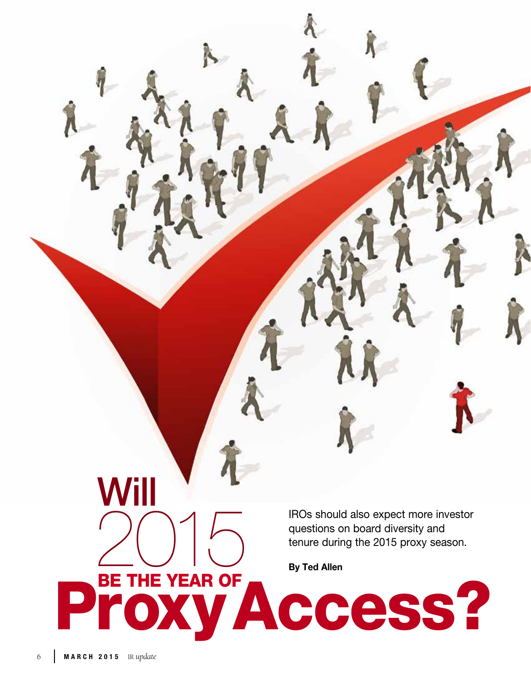IROs should also expect more investor questions on board diversity and THE VEAD OF THE VEAD OF

Proxy Access?

Will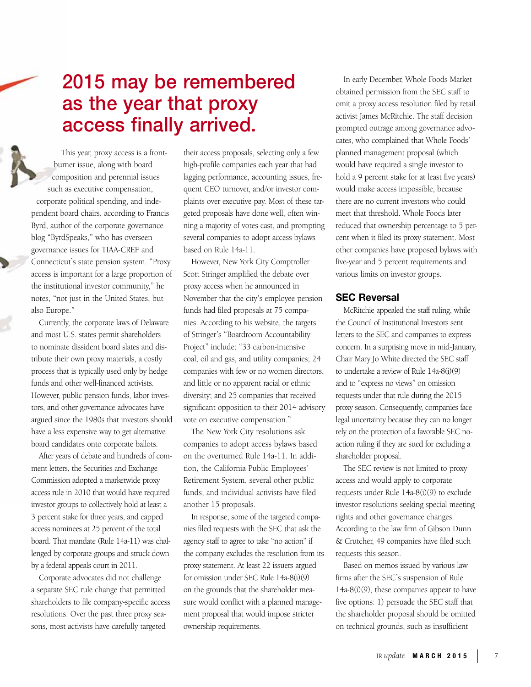# 2015 may be remembered as the year that proxy access finally arrived.

This year, proxy access is a frontburner issue, along with board composition and perennial issues such as executive compensation, corporate political spending, and independent board chairs, according to Francis Byrd, author of the corporate governance blog "ByrdSpeaks," who has overseen governance issues for TIAA-CREF and Connecticut's state pension system. "Proxy access is important for a large proportion of the institutional investor community," he notes, "not just in the United States, but also Europe."

Currently, the corporate laws of Delaware and most U.S. states permit shareholders to nominate dissident board slates and distribute their own proxy materials, a costly process that is typically used only by hedge funds and other well-financed activists. However, public pension funds, labor investors, and other governance advocates have argued since the 1980s that investors should have a less expensive way to get alternative board candidates onto corporate ballots.

After years of debate and hundreds of comment letters, the Securities and Exchange Commission adopted a marketwide proxy access rule in 2010 that would have required investor groups to collectively hold at least a 3 percent stake for three years, and capped access nominees at 25 percent of the total board. That mandate (Rule 14a-11) was challenged by corporate groups and struck down by a federal appeals court in 2011.

Corporate advocates did not challenge a separate SEC rule change that permitted shareholders to file company-specific access resolutions. Over the past three proxy seasons, most activists have carefully targeted

their access proposals, selecting only a few high-profile companies each year that had lagging performance, accounting issues, frequent CEO turnover, and/or investor complaints over executive pay. Most of these targeted proposals have done well, often winning a majority of votes cast, and prompting several companies to adopt access bylaws based on Rule 14a-11.

However, New York City Comptroller Scott Stringer amplified the debate over proxy access when he announced in November that the city's employee pension funds had filed proposals at 75 companies. According to his website, the targets of Stringer's "Boardroom Accountability Project" include: "33 carbon-intensive coal, oil and gas, and utility companies; 24 companies with few or no women directors, and little or no apparent racial or ethnic diversity; and 25 companies that received significant opposition to their 2014 advisory vote on executive compensation."

The New York City resolutions ask companies to adopt access bylaws based on the overturned Rule 14a-11. In addition, the California Public Employees' Retirement System, several other public funds, and individual activists have filed another 15 proposals.

In response, some of the targeted companies filed requests with the SEC that ask the agency staff to agree to take "no action" if the company excludes the resolution from its proxy statement. At least 22 issuers argued for omission under SEC Rule 14a-8(i)(9) on the grounds that the shareholder measure would conflict with a planned management proposal that would impose stricter ownership requirements.

In early December, Whole Foods Market obtained permission from the SEC staff to omit a proxy access resolution filed by retail activist James McRitchie. The staff decision prompted outrage among governance advocates, who complained that Whole Foods' planned management proposal (which would have required a single investor to hold a 9 percent stake for at least five years) would make access impossible, because there are no current investors who could meet that threshold. Whole Foods later reduced that ownership percentage to 5 percent when it filed its proxy statement. Most other companies have proposed bylaws with five-year and 5 percent requirements and various limits on investor groups.

## SEC Reversal

McRitchie appealed the staff ruling, while the Council of Institutional Investors sent letters to the SEC and companies to express concern. In a surprising move in mid-January, Chair Mary Jo White directed the SEC staff to undertake a review of Rule 14a-8(i)(9) and to "express no views" on omission requests under that rule during the 2015 proxy season. Consequently, companies face legal uncertainty because they can no longer rely on the protection of a favorable SEC noaction ruling if they are sued for excluding a shareholder proposal.

The SEC review is not limited to proxy access and would apply to corporate requests under Rule 14a-8(i)(9) to exclude investor resolutions seeking special meeting rights and other governance changes. According to the law firm of Gibson Dunn & Crutcher, 49 companies have filed such requests this season.

Based on memos issued by various law firms after the SEC's suspension of Rule 14a-8(i)(9), these companies appear to have five options: 1) persuade the SEC staff that the shareholder proposal should be omitted on technical grounds, such as insufficient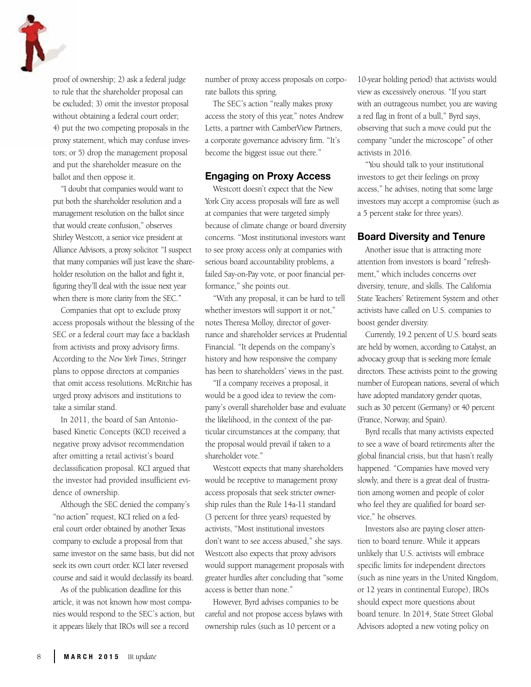proof of ownership; 2) ask a federal judge to rule that the shareholder proposal can be excluded; 3) omit the investor proposal without obtaining a federal court order; 4) put the two competing proposals in the proxy statement, which may confuse investors; or 5) drop the management proposal and put the shareholder measure on the ballot and then oppose it.

"I doubt that companies would want to put both the shareholder resolution and a management resolution on the ballot since that would create confusion," observes Shirley Westcott, a senior vice president at Alliance Advisors, a proxy solicitor. "I suspect that many companies will just leave the shareholder resolution on the ballot and fight it, figuring they'll deal with the issue next year when there is more clarity from the SEC."

Companies that opt to exclude proxy access proposals without the blessing of the SEC or a federal court may face a backlash from activists and proxy advisory firms. According to the *New York Times*, Stringer plans to oppose directors at companies that omit access resolutions. McRitchie has urged proxy advisors and institutions to take a similar stand.

In 2011, the board of San Antoniobased Kinetic Concepts (KCI) received a negative proxy advisor recommendation after omitting a retail activist's board declassification proposal. KCI argued that the investor had provided insufficient evidence of ownership.

Although the SEC denied the company's "no action" request, KCI relied on a federal court order obtained by another Texas company to exclude a proposal from that same investor on the same basis, but did not seek its own court order. KCI later reversed course and said it would declassify its board.

As of the publication deadline for this article, it was not known how most companies would respond to the SEC's action, but it appears likely that IROs will see a record

number of proxy access proposals on corporate ballots this spring.

The SEC's action "really makes proxy access the story of this year," notes Andrew Letts, a partner with CamberView Partners, a corporate governance advisory firm. "It's become the biggest issue out there."

#### Engaging on Proxy Access

Westcott doesn't expect that the New York City access proposals will fare as well at companies that were targeted simply because of climate change or board diversity concerns. "Most institutional investors want to see proxy access only at companies with serious board accountability problems, a failed Say-on-Pay vote, or poor financial performance," she points out.

"With any proposal, it can be hard to tell whether investors will support it or not," notes Theresa Molloy, director of governance and shareholder services at Prudential Financial. "It depends on the company's history and how responsive the company has been to shareholders' views in the past.

"If a company receives a proposal, it would be a good idea to review the company's overall shareholder base and evaluate the likelihood, in the context of the particular circumstances at the company, that the proposal would prevail if taken to a shareholder vote."

Westcott expects that many shareholders would be receptive to management proxy access proposals that seek stricter ownership rules than the Rule 14a-11 standard (3 percent for three years) requested by activists, "Most institutional investors don't want to see access abused," she says. Westcott also expects that proxy advisors would support management proposals with greater hurdles after concluding that "some access is better than none."

However, Byrd advises companies to be careful and not propose access bylaws with ownership rules (such as 10 percent or a

10-year holding period) that activists would view as excessively onerous. "If you start with an outrageous number, you are waving a red flag in front of a bull," Byrd says, observing that such a move could put the company "under the microscope" of other activists in 2016.

"You should talk to your institutional investors to get their feelings on proxy access," he advises, noting that some large investors may accept a compromise (such as a 5 percent stake for three years).

## Board Diversity and Tenure

Another issue that is attracting more attention from investors is board "refreshment," which includes concerns over diversity, tenure, and skills. The California State Teachers' Retirement System and other activists have called on U.S. companies to boost gender diversity.

Currently, 19.2 percent of U.S. board seats are held by women, according to Catalyst, an advocacy group that is seeking more female directors. These activists point to the growing number of European nations, several of which have adopted mandatory gender quotas, such as 30 percent (Germany) or 40 percent (France, Norway, and Spain).

Byrd recalls that many activists expected to see a wave of board retirements after the global financial crisis, but that hasn't really happened. "Companies have moved very slowly, and there is a great deal of frustration among women and people of color who feel they are qualified for board service," he observes.

Investors also are paying closer attention to board tenure. While it appears unlikely that U.S. activists will embrace specific limits for independent directors (such as nine years in the United Kingdom, or 12 years in continental Europe), IROs should expect more questions about board tenure. In 2014, State Street Global Advisors adopted a new voting policy on